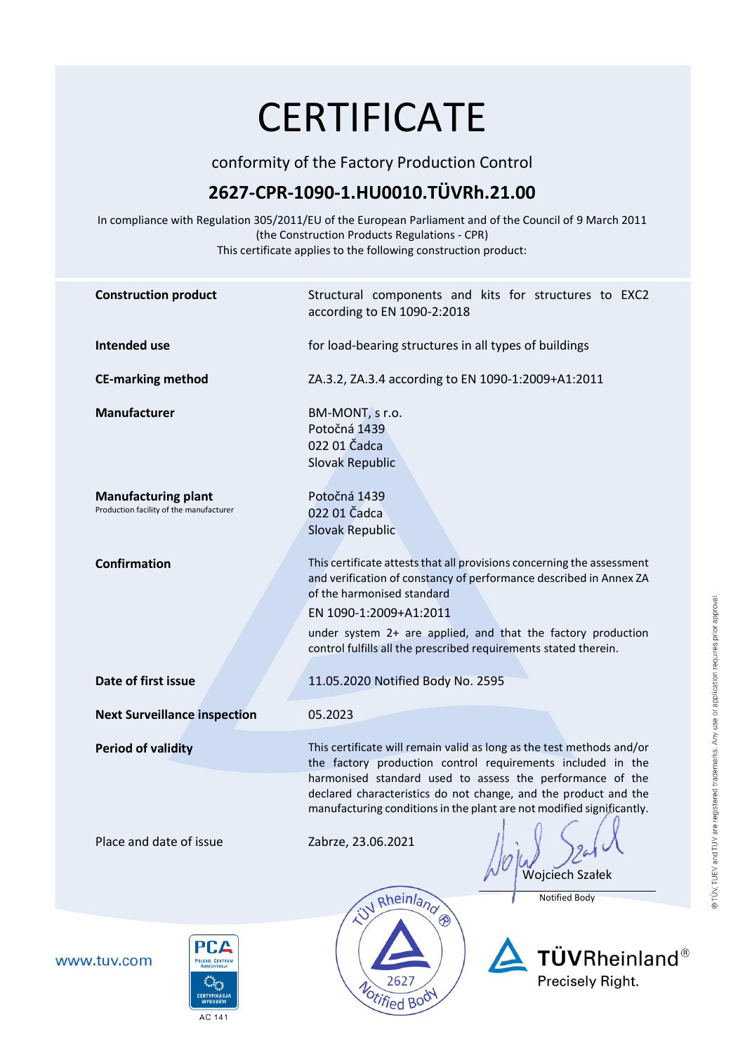## **CERTIFICATE**

conformity of the Factory Production Control

## **2627-CPR-1090-1.HU0010.TÜVRh.21.00**

In compliance with Regulation 305/2011/EU of the European Parliament and of the Council of 9 March 2011 (the Construction Products Regulations - CPR) This certificate applies to the following construction product:

| <b>Construction product</b>                                                                             | Structural components and kits for structures to EXC2<br>according to EN 1090-2:2018                                                                                                                                                                                                                                                          |
|---------------------------------------------------------------------------------------------------------|-----------------------------------------------------------------------------------------------------------------------------------------------------------------------------------------------------------------------------------------------------------------------------------------------------------------------------------------------|
| <b>Intended use</b>                                                                                     | for load-bearing structures in all types of buildings                                                                                                                                                                                                                                                                                         |
| <b>CE-marking method</b>                                                                                | ZA.3.2, ZA.3.4 according to EN 1090-1:2009+A1:2011                                                                                                                                                                                                                                                                                            |
| Manufacturer                                                                                            | BM-MONT, s r.o.<br>Potočná 1439<br>022 01 Čadca<br><b>Slovak Republic</b>                                                                                                                                                                                                                                                                     |
| <b>Manufacturing plant</b><br>Production facility of the manufacturer                                   | Potočná 1439<br>022 01 Čadca<br><b>Slovak Republic</b>                                                                                                                                                                                                                                                                                        |
| <b>Confirmation</b>                                                                                     | This certificate attests that all provisions concerning the assessment<br>and verification of constancy of performance described in Annex ZA<br>of the harmonised standard<br>EN 1090-1:2009+A1:2011<br>under system 2+ are applied, and that the factory production<br>control fulfills all the prescribed requirements stated therein.      |
| Date of first issue                                                                                     | 11.05.2020 Notified Body No. 2595                                                                                                                                                                                                                                                                                                             |
| <b>Next Surveillance inspection</b>                                                                     | 05.2023                                                                                                                                                                                                                                                                                                                                       |
| <b>Period of validity</b>                                                                               | This certificate will remain valid as long as the test methods and/or<br>the factory production control requirements included in the<br>harmonised standard used to assess the performance of the<br>declared characteristics do not change, and the product and the<br>manufacturing conditions in the plant are not modified significantly. |
| Place and date of issue                                                                                 | Zabrze, 23.06.2021<br>Wojciech Szałek<br>W Rheinland<br><b>Notified Body</b><br>$\circledR$                                                                                                                                                                                                                                                   |
| PCA<br>www.tuv.com<br><b>POLSKIE CENTRUI</b><br><b>Cars</b><br><b>CERTYFIKACJA</b><br>WYROBÓW<br>AC 141 | ${\rm \bf T}\ddot{{\rm \bf U}}{\rm \bf V}$ Rheinland $^{\circ\!\circ}$<br>Precisely Right.<br>2627<br>Notified Body                                                                                                                                                                                                                           |